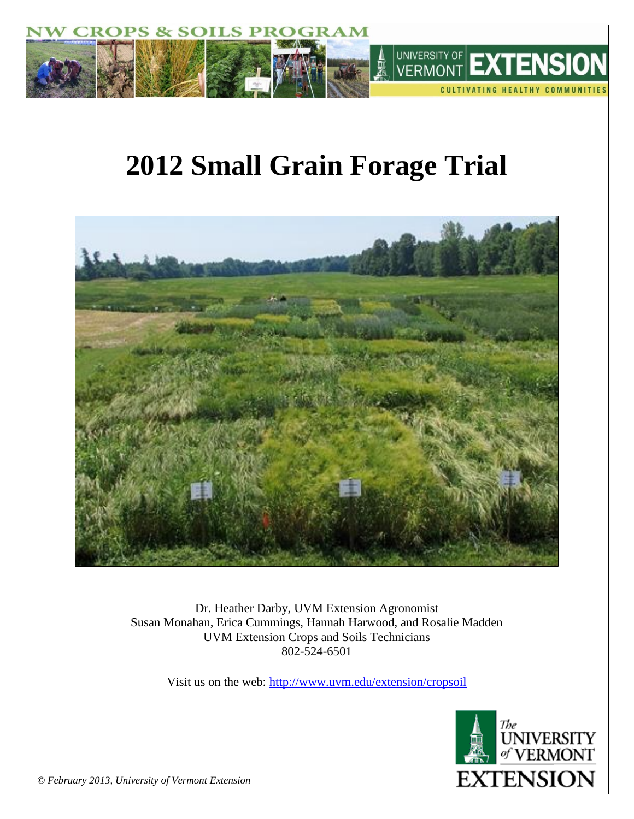

# **2012 Small Grain Forage Trial**



Dr. Heather Darby, UVM Extension Agronomist Susan Monahan, Erica Cummings, Hannah Harwood, and Rosalie Madden UVM Extension Crops and Soils Technicians 802-524-6501

Visit us on the web: <http://www.uvm.edu/extension/cropsoil>



*© February 2013, University of Vermont Extension*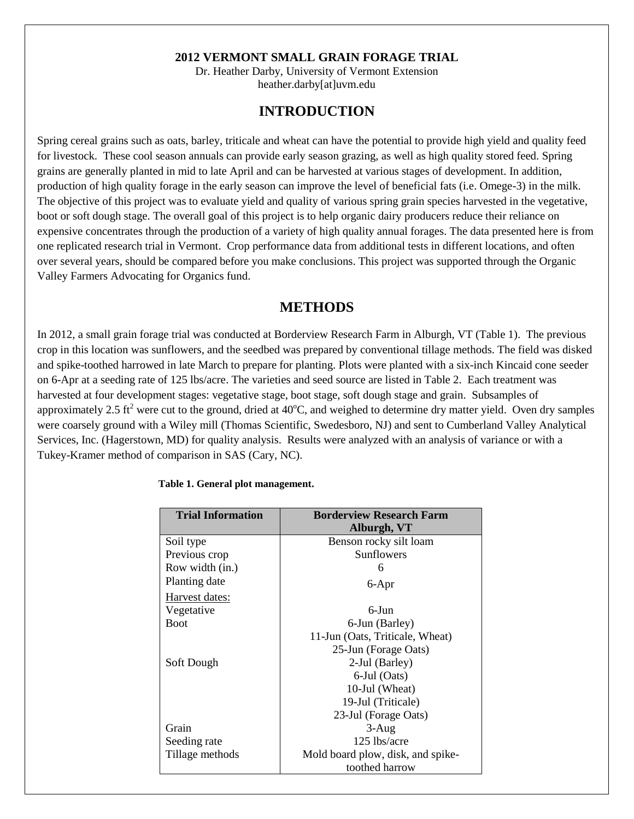#### **2012 VERMONT SMALL GRAIN FORAGE TRIAL**

Dr. Heather Darby, University of Vermont Extension heather.darby[at]uvm.edu

# **INTRODUCTION**

Spring cereal grains such as oats, barley, triticale and wheat can have the potential to provide high yield and quality feed for livestock. These cool season annuals can provide early season grazing, as well as high quality stored feed. Spring grains are generally planted in mid to late April and can be harvested at various stages of development. In addition, production of high quality forage in the early season can improve the level of beneficial fats (i.e. Omege-3) in the milk. The objective of this project was to evaluate yield and quality of various spring grain species harvested in the vegetative, boot or soft dough stage. The overall goal of this project is to help organic dairy producers reduce their reliance on expensive concentrates through the production of a variety of high quality annual forages. The data presented here is from one replicated research trial in Vermont. Crop performance data from additional tests in different locations, and often over several years, should be compared before you make conclusions. This project was supported through the Organic Valley Farmers Advocating for Organics fund.

## **METHODS**

In 2012, a small grain forage trial was conducted at Borderview Research Farm in Alburgh, VT (Table 1). The previous crop in this location was sunflowers, and the seedbed was prepared by conventional tillage methods. The field was disked and spike-toothed harrowed in late March to prepare for planting. Plots were planted with a six-inch Kincaid cone seeder on 6-Apr at a seeding rate of 125 lbs/acre. The varieties and seed source are listed in Table 2. Each treatment was harvested at four development stages: vegetative stage, boot stage, soft dough stage and grain. Subsamples of approximately 2.5 ft<sup>2</sup> were cut to the ground, dried at  $40^{\circ}$ C, and weighed to determine dry matter yield. Oven dry samples were coarsely ground with a Wiley mill (Thomas Scientific, Swedesboro, NJ) and sent to Cumberland Valley Analytical Services, Inc. (Hagerstown, MD) for quality analysis. Results were analyzed with an analysis of variance or with a Tukey-Kramer method of comparison in SAS (Cary, NC).

| <b>Trial Information</b> | <b>Borderview Research Farm</b>   |
|--------------------------|-----------------------------------|
|                          | Alburgh, VT                       |
| Soil type                | Benson rocky silt loam            |
| Previous crop            | <b>Sunflowers</b>                 |
| Row width (in.)          | 6                                 |
| Planting date            | 6-Apr                             |
| Harvest dates:           |                                   |
| Vegetative               | $6$ -Jun                          |
| <b>Boot</b>              | 6-Jun (Barley)                    |
|                          | 11-Jun (Oats, Triticale, Wheat)   |
|                          | 25-Jun (Forage Oats)              |
| Soft Dough               | 2-Jul (Barley)                    |
|                          | 6-Jul (Oats)                      |
|                          | 10-Jul (Wheat)                    |
|                          | 19-Jul (Triticale)                |
|                          | 23-Jul (Forage Oats)              |
| Grain                    | $3-Aug$                           |
| Seeding rate             | 125 lbs/acre                      |
| Tillage methods          | Mold board plow, disk, and spike- |
|                          | toothed harrow                    |

#### **Table 1. General plot management.**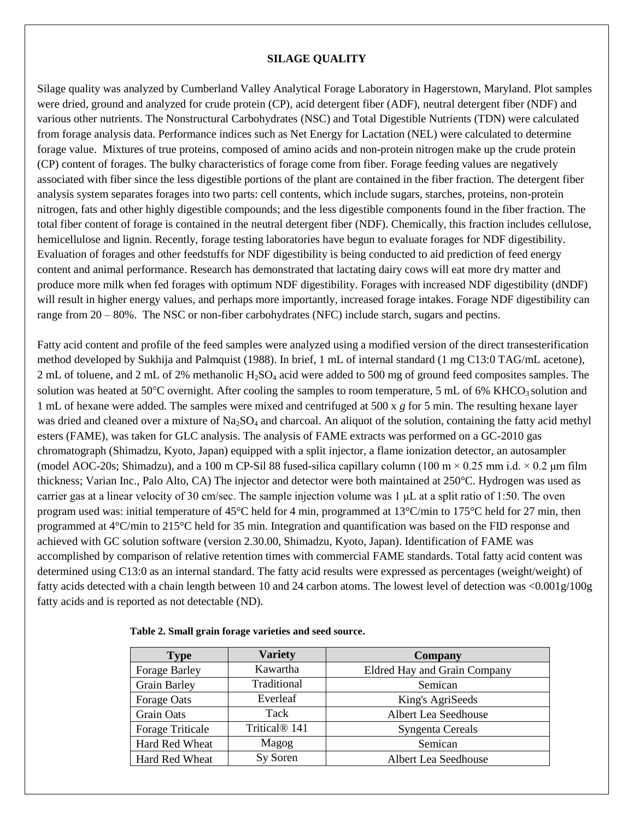#### **SILAGE QUALITY**

Silage quality was analyzed by Cumberland Valley Analytical Forage Laboratory in Hagerstown, Maryland. Plot samples were dried, ground and analyzed for crude protein (CP), acid detergent fiber (ADF), neutral detergent fiber (NDF) and various other nutrients. The Nonstructural Carbohydrates (NSC) and Total Digestible Nutrients (TDN) were calculated from forage analysis data. Performance indices such as Net Energy for Lactation (NEL) were calculated to determine forage value. Mixtures of true proteins, composed of amino acids and non-protein nitrogen make up the crude protein (CP) content of forages. The bulky characteristics of forage come from fiber. Forage feeding values are negatively associated with fiber since the less digestible portions of the plant are contained in the fiber fraction. The detergent fiber analysis system separates forages into two parts: cell contents, which include sugars, starches, proteins, non-protein nitrogen, fats and other highly digestible compounds; and the less digestible components found in the fiber fraction. The total fiber content of forage is contained in the neutral detergent fiber (NDF). Chemically, this fraction includes cellulose, hemicellulose and lignin. Recently, forage testing laboratories have begun to evaluate forages for NDF digestibility. Evaluation of forages and other feedstuffs for NDF digestibility is being conducted to aid prediction of feed energy content and animal performance. Research has demonstrated that lactating dairy cows will eat more dry matter and produce more milk when fed forages with optimum NDF digestibility. Forages with increased NDF digestibility (dNDF) will result in higher energy values, and perhaps more importantly, increased forage intakes. Forage NDF digestibility can range from 20 – 80%. The NSC or non-fiber carbohydrates (NFC) include starch, sugars and pectins.

Fatty acid content and profile of the feed samples were analyzed using a modified version of the direct transesterification method developed by Sukhija and Palmquist (1988). In brief, 1 mL of internal standard (1 mg C13:0 TAG/mL acetone), 2 mL of toluene, and 2 mL of 2% methanolic  $H_2SO_4$  acid were added to 500 mg of ground feed composites samples. The solution was heated at  $50^{\circ}$ C overnight. After cooling the samples to room temperature, 5 mL of 6% KHCO<sub>3</sub> solution and 1 mL of hexane were added. The samples were mixed and centrifuged at 500 x *g* for 5 min. The resulting hexane layer was dried and cleaned over a mixture of Na<sub>2</sub>SO<sub>4</sub> and charcoal. An aliquot of the solution, containing the fatty acid methyl esters (FAME), was taken for GLC analysis. The analysis of FAME extracts was performed on a GC-2010 gas chromatograph (Shimadzu, Kyoto, Japan) equipped with a split injector, a flame ionization detector, an autosampler (model AOC-20s; Shimadzu), and a 100 m CP-Sil 88 fused-silica capillary column (100 m  $\times$  0.25 mm i.d.  $\times$  0.2  $\mu$ m film thickness; Varian Inc., Palo Alto, CA) The injector and detector were both maintained at 250°C. Hydrogen was used as carrier gas at a linear velocity of 30 cm/sec. The sample injection volume was 1 μL at a split ratio of 1:50. The oven program used was: initial temperature of 45°C held for 4 min, programmed at 13°C/min to 175°C held for 27 min, then programmed at 4°C/min to 215°C held for 35 min. Integration and quantification was based on the FID response and achieved with GC solution software (version 2.30.00, Shimadzu, Kyoto, Japan). Identification of FAME was accomplished by comparison of relative retention times with commercial FAME standards. Total fatty acid content was determined using C13:0 as an internal standard. The fatty acid results were expressed as percentages (weight/weight) of fatty acids detected with a chain length between 10 and 24 carbon atoms. The lowest level of detection was <0.001g/100g fatty acids and is reported as not detectable (ND).

| <b>Type</b>             | <b>Variety</b>            | <b>Company</b>               |
|-------------------------|---------------------------|------------------------------|
| <b>Forage Barley</b>    | Kawartha                  | Eldred Hay and Grain Company |
| <b>Grain Barley</b>     | Traditional               | Semican                      |
| Forage Oats             | Everleaf                  | King's AgriSeeds             |
| <b>Grain Oats</b>       | Tack                      | Albert Lea Seedhouse         |
| <b>Forage Triticale</b> | Tritical <sup>®</sup> 141 | Syngenta Cereals             |
| Hard Red Wheat          | Magog                     | Semican                      |
| Hard Red Wheat          | Sy Soren                  | Albert Lea Seedhouse         |

 **Table 2. Small grain forage varieties and seed source.**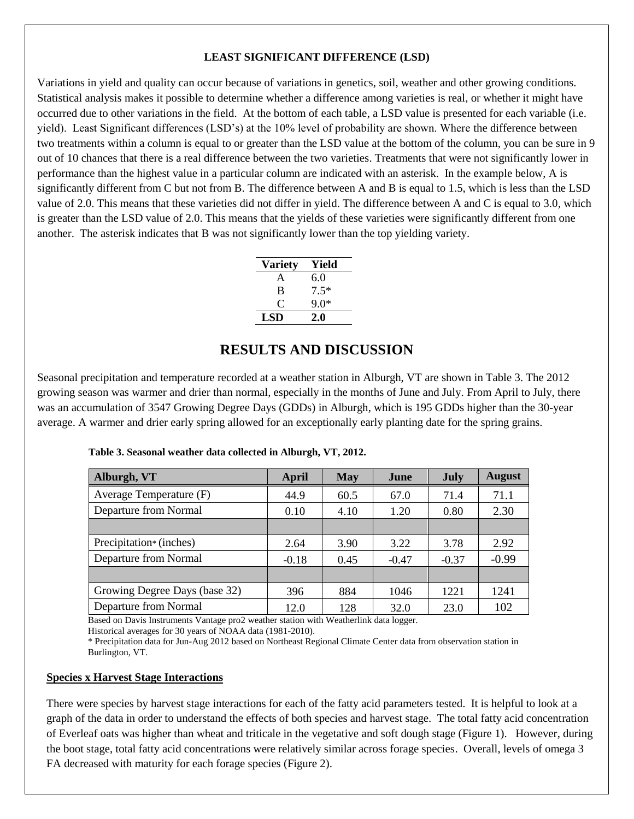#### **LEAST SIGNIFICANT DIFFERENCE (LSD)**

Variations in yield and quality can occur because of variations in genetics, soil, weather and other growing conditions. Statistical analysis makes it possible to determine whether a difference among varieties is real, or whether it might have occurred due to other variations in the field. At the bottom of each table, a LSD value is presented for each variable (i.e. yield). Least Significant differences (LSD's) at the 10% level of probability are shown. Where the difference between two treatments within a column is equal to or greater than the LSD value at the bottom of the column, you can be sure in 9 out of 10 chances that there is a real difference between the two varieties. Treatments that were not significantly lower in performance than the highest value in a particular column are indicated with an asterisk. In the example below, A is significantly different from C but not from B. The difference between A and B is equal to 1.5, which is less than the LSD value of 2.0. This means that these varieties did not differ in yield. The difference between A and C is equal to 3.0, which is greater than the LSD value of 2.0. This means that the yields of these varieties were significantly different from one another. The asterisk indicates that B was not significantly lower than the top yielding variety.

| <b>Variety</b> | Yield  |
|----------------|--------|
| A              | 6.0    |
| B              | $7.5*$ |
| C              | ዓ በ*   |
| LSD            | 2.0    |

## **RESULTS AND DISCUSSION**

Seasonal precipitation and temperature recorded at a weather station in Alburgh, VT are shown in Table 3. The 2012 growing season was warmer and drier than normal, especially in the months of June and July. From April to July, there was an accumulation of 3547 Growing Degree Days (GDDs) in Alburgh, which is 195 GDDs higher than the 30-year average. A warmer and drier early spring allowed for an exceptionally early planting date for the spring grains.

| Alburgh, VT                         | April   | <b>May</b> | June    | July    | <b>August</b> |
|-------------------------------------|---------|------------|---------|---------|---------------|
| Average Temperature (F)             | 44.9    | 60.5       | 67.0    | 71.4    | 71.1          |
| Departure from Normal               | 0.10    | 4.10       | 1.20    | 0.80    | 2.30          |
|                                     |         |            |         |         |               |
| Precipitation <sup>*</sup> (inches) | 2.64    | 3.90       | 3.22    | 3.78    | 2.92          |
| Departure from Normal               | $-0.18$ | 0.45       | $-0.47$ | $-0.37$ | $-0.99$       |
|                                     |         |            |         |         |               |
| Growing Degree Days (base 32)       | 396     | 884        | 1046    | 1221    | 1241          |
| Departure from Normal               | 12.0    | 128        | 32.0    | 23.0    | 102           |

**Table 3. Seasonal weather data collected in Alburgh, VT, 2012.**

Based on Davis Instruments Vantage pro2 weather station with Weatherlink data logger.

Historical averages for 30 years of NOAA data (1981-2010).

\* Precipitation data for Jun-Aug 2012 based on Northeast Regional Climate Center data from observation station in Burlington, VT.

#### **Species x Harvest Stage Interactions**

There were species by harvest stage interactions for each of the fatty acid parameters tested. It is helpful to look at a graph of the data in order to understand the effects of both species and harvest stage. The total fatty acid concentration of Everleaf oats was higher than wheat and triticale in the vegetative and soft dough stage (Figure 1). However, during the boot stage, total fatty acid concentrations were relatively similar across forage species. Overall, levels of omega 3 FA decreased with maturity for each forage species (Figure 2).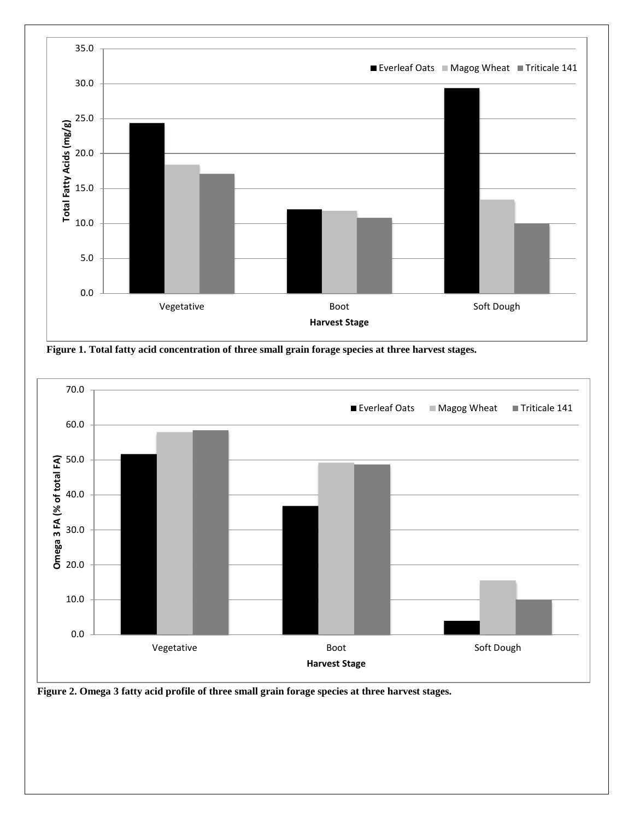





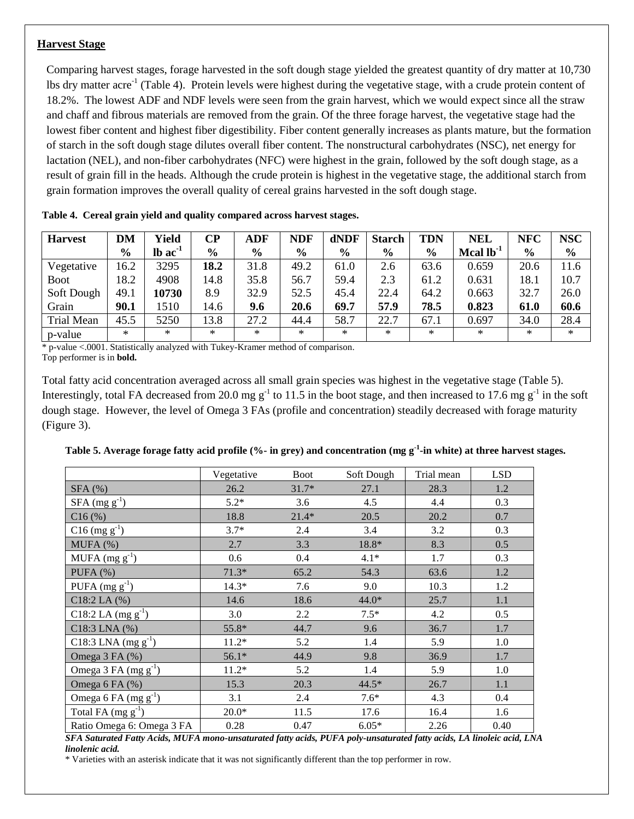#### **Harvest Stage**

Comparing harvest stages, forage harvested in the soft dough stage yielded the greatest quantity of dry matter at 10,730 lbs dry matter acre<sup>-1</sup> (Table 4). Protein levels were highest during the vegetative stage, with a crude protein content of 18.2%. The lowest ADF and NDF levels were seen from the grain harvest, which we would expect since all the straw and chaff and fibrous materials are removed from the grain. Of the three forage harvest, the vegetative stage had the lowest fiber content and highest fiber digestibility. Fiber content generally increases as plants mature, but the formation of starch in the soft dough stage dilutes overall fiber content. The nonstructural carbohydrates (NSC), net energy for lactation (NEL), and non-fiber carbohydrates (NFC) were highest in the grain, followed by the soft dough stage, as a result of grain fill in the heads. Although the crude protein is highest in the vegetative stage, the additional starch from grain formation improves the overall quality of cereal grains harvested in the soft dough stage.

| <b>Harvest</b>    | <b>DM</b>     | Yield                 | CР            | ADF           | <b>NDF</b>    | dNDF          | <b>Starch</b> | TDN           | <b>NEL</b>     | <b>NFC</b>    | <b>NSC</b>    |
|-------------------|---------------|-----------------------|---------------|---------------|---------------|---------------|---------------|---------------|----------------|---------------|---------------|
|                   | $\frac{6}{9}$ | $lb$ ac <sup>-1</sup> | $\frac{6}{6}$ | $\frac{0}{0}$ | $\frac{6}{9}$ | $\frac{6}{9}$ | $\frac{6}{9}$ | $\frac{6}{6}$ | Mcal $lb^{-1}$ | $\frac{6}{6}$ | $\frac{6}{6}$ |
| Vegetative        | 16.2          | 3295                  | 18.2          | 31.8          | 49.2          | 61.0          | 2.6           | 63.6          | 0.659          | 20.6          | 11.6          |
| <b>Boot</b>       | 8.2           | 4908                  | 14.8          | 35.8          | 56.7          | 59.4          | 2.3           | 61.2          | 0.631          | 18.1          | 10.7          |
| Soft Dough        | 49.1          | 10730                 | 8.9           | 32.9          | 52.5          | 45.4          | 22.4          | 64.2          | 0.663          | 32.7          | 26.0          |
| Grain             | 90.1          | 1510                  | 14.6          | 9.6           | 20.6          | 69.7          | 57.9          | 78.5          | 0.823          | 61.0          | 60.6          |
| <b>Trial Mean</b> | 45.5          | 5250                  | 13.8          | 27.2          | 44.4          | 58.7          | 22.7          | 67.1          | 0.697          | 34.0          | 28.4          |
| p-value           | $\ast$        | $\ast$                | *             | $*$           | $\ast$        | $\ast$        | $\ast$        | $*$           | $\ast$         | $\ast$        | $*$           |

|  |  |  |  |  |  |  |  | Table 4. Cereal grain yield and quality compared across harvest stages. |
|--|--|--|--|--|--|--|--|-------------------------------------------------------------------------|
|--|--|--|--|--|--|--|--|-------------------------------------------------------------------------|

 $*$  p-value <.0001. Statistically analyzed with Tukey-Kramer method of comparison. Top performer is in **bold.**

Total fatty acid concentration averaged across all small grain species was highest in the vegetative stage (Table 5). Interestingly, total FA decreased from 20.0 mg g<sup>-1</sup> to 11.5 in the boot stage, and then increased to 17.6 mg g<sup>-1</sup> in the soft dough stage. However, the level of Omega 3 FAs (profile and concentration) steadily decreased with forage maturity (Figure 3).

|                           | Vegetative | <b>Boot</b> | Soft Dough | Trial mean | <b>LSD</b> |
|---------------------------|------------|-------------|------------|------------|------------|
| $SFA$ (%)                 | 26.2       | $31.7*$     | 27.1       | 28.3       | 1.2        |
| $SFA$ (mg $g^{-1}$ )      | $5.2*$     | 3.6         | 4.5        | 4.4        | 0.3        |
| C16(%)                    | 18.8       | $21.4*$     | 20.5       | 20.2       | 0.7        |
| $C16$ (mg $g^{-1}$ )      | $3.7*$     | 2.4         | 3.4        | 3.2        | 0.3        |
| MUPA(%)                   | 2.7        | 3.3         | 18.8*      | 8.3        | 0.5        |
| $MUPA (mg g-1)$           | 0.6        | 0.4         | $4.1*$     | 1.7        | 0.3        |
| PUFA $(%)$                | $71.3*$    | 65.2        | 54.3       | 63.6       | 1.2        |
| PUFA $(mg g^{-1})$        | $14.3*$    | 7.6         | 9.0        | 10.3       | 1.2        |
| $C18:2$ LA $(\% )$        | 14.6       | 18.6        | $44.0*$    | 25.7       | 1.1        |
| C18:2 LA $(mg g^{-1})$    | 3.0        | 2.2         | $7.5*$     | 4.2        | 0.5        |
| C18:3 LNA (%)             | 55.8*      | 44.7        | 9.6        | 36.7       | 1.7        |
| C18:3 LNA $(mg g^{-1})$   | $11.2*$    | 5.2         | 1.4        | 5.9        | 1.0        |
| Omega 3 FA (%)            | $56.1*$    | 44.9        | 9.8        | 36.9       | 1.7        |
| Omega 3 FA $(mg g^{-1})$  | $11.2*$    | 5.2         | 1.4        | 5.9        | 1.0        |
| Omega 6 FA (%)            | 15.3       | 20.3        | $44.5*$    | 26.7       | 1.1        |
| Omega 6 FA $(mg g^{-1})$  | 3.1        | 2.4         | $7.6*$     | 4.3        | 0.4        |
| Total FA $(mg g^{-1})$    | $20.0*$    | 11.5        | 17.6       | 16.4       | 1.6        |
| Ratio Omega 6: Omega 3 FA | 0.28       | 0.47        | $6.05*$    | 2.26       | 0.40       |

**Table 5. Average forage fatty acid profile (%- in grey) and concentration (mg g-1 -in white) at three harvest stages.**

*SFA Saturated Fatty Acids, MUFA mono-unsaturated fatty acids, PUFA poly-unsaturated fatty acids, LA linoleic acid, LNA linolenic acid.*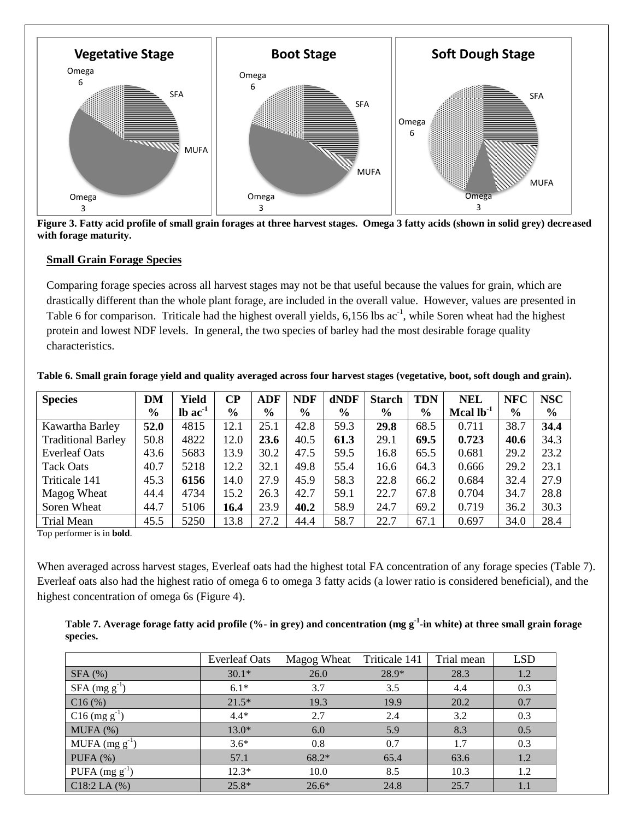

**Figure 3. Fatty acid profile of small grain forages at three harvest stages. Omega 3 fatty acids (shown in solid grey) decreased with forage maturity.** 

#### **Small Grain Forage Species**

Comparing forage species across all harvest stages may not be that useful because the values for grain, which are drastically different than the whole plant forage, are included in the overall value. However, values are presented in Table 6 for comparison. Triticale had the highest overall yields,  $6,156$  lbs  $ac^{-1}$ , while Soren wheat had the highest protein and lowest NDF levels. In general, the two species of barley had the most desirable forage quality characteristics.

| <b>Species</b>            | DM            | Yield                 | $\bf CP$      | <b>ADF</b>    | <b>NDF</b>    | dNDF          | <b>Starch</b> | <b>TDN</b> | <b>NEL</b>     | <b>NFC</b>    | <b>NSC</b>    |
|---------------------------|---------------|-----------------------|---------------|---------------|---------------|---------------|---------------|------------|----------------|---------------|---------------|
|                           | $\frac{0}{0}$ | $lb$ ac <sup>-1</sup> | $\frac{6}{9}$ | $\frac{0}{0}$ | $\frac{0}{0}$ | $\frac{0}{0}$ | $\frac{0}{0}$ | $\%$       | Mcal $lb^{-1}$ | $\frac{0}{0}$ | $\frac{6}{6}$ |
| Kawartha Barley           | 52.0          | 4815                  | 12.1          | 25.1          | 42.8          | 59.3          | 29.8          | 68.5       | 0.711          | 38.7          | 34.4          |
| <b>Traditional Barley</b> | 50.8          | 4822                  | 12.0          | 23.6          | 40.5          | 61.3          | 29.1          | 69.5       | 0.723          | 40.6          | 34.3          |
| <b>Everleaf Oats</b>      | 43.6          | 5683                  | 13.9          | 30.2          | 47.5          | 59.5          | 16.8          | 65.5       | 0.681          | 29.2          | 23.2          |
| <b>Tack Oats</b>          | 40.7          | 5218                  | 12.2          | 32.1          | 49.8          | 55.4          | 16.6          | 64.3       | 0.666          | 29.2          | 23.1          |
| Triticale 141             | 45.3          | 6156                  | 14.0          | 27.9          | 45.9          | 58.3          | 22.8          | 66.2       | 0.684          | 32.4          | 27.9          |
| Magog Wheat               | 44.4          | 4734                  | 15.2          | 26.3          | 42.7          | 59.1          | 22.7          | 67.8       | 0.704          | 34.7          | 28.8          |
| Soren Wheat               | 44.7          | 5106                  | 16.4          | 23.9          | 40.2          | 58.9          | 24.7          | 69.2       | 0.719          | 36.2          | 30.3          |
| <b>Trial Mean</b>         | 45.5          | 5250                  | 13.8          | 27.2          | 44.4          | 58.7          | 22.7          | 67.1       | 0.697          | 34.0          | 28.4          |

**Table 6. Small grain forage yield and quality averaged across four harvest stages (vegetative, boot, soft dough and grain).**

Top performer is in **bold**.

When averaged across harvest stages, Everleaf oats had the highest total FA concentration of any forage species (Table 7). Everleaf oats also had the highest ratio of omega 6 to omega 3 fatty acids (a lower ratio is considered beneficial), and the highest concentration of omega 6s (Figure 4).

**Table 7. Average forage fatty acid profile (%- in grey) and concentration (mg g-1 -in white) at three small grain forage species.**

|                             | <b>Everleaf Oats</b> | Magog Wheat | Triticale 141 | Trial mean | <b>LSD</b> |
|-----------------------------|----------------------|-------------|---------------|------------|------------|
| $SFA$ $%$                   | $30.1*$              | 26.0        | 28.9*         | 28.3       | 1.2        |
| $SFA \, (mg \, g^{-1})$     | $6.1*$               | 3.7         | 3.5           | 4.4        | 0.3        |
| C16(%)                      | $21.5*$              | 19.3        | 19.9          | 20.2       | 0.7        |
| $C16$ (mg g <sup>-1</sup> ) | $4.4*$               | 2.7         | 2.4           | 3.2        | 0.3        |
| MUPA(%)                     | $13.0*$              | 6.0         | 5.9           | 8.3        | 0.5        |
| MUFA $(mg g^{-1})$          | $3.6*$               | 0.8         | 0.7           | 1.7        | 0.3        |
| PUFA $(%)$                  | 57.1                 | $68.2*$     | 65.4          | 63.6       | 1.2        |
| PUFA $(mg g^{-1})$          | $12.3*$              | 10.0        | 8.5           | 10.3       | 1.2        |
| $C18:2$ LA $(%)$            | $25.8*$              | $26.6*$     | 24.8          | 25.7       | 1.1        |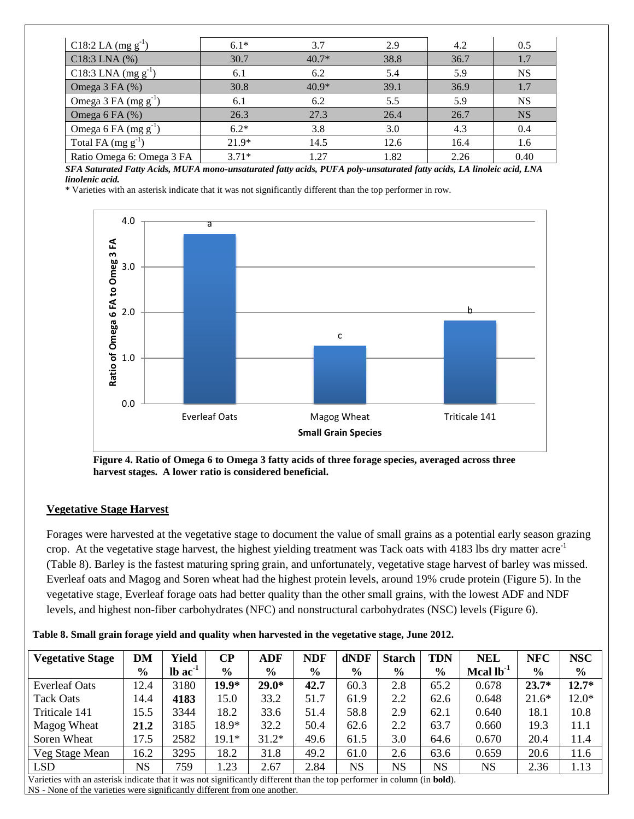| C18:2 LA $(mg g^{-1})$    | $6.1*$  | 3.7     | 2.9  | 4.2  | 0.5       |
|---------------------------|---------|---------|------|------|-----------|
| $C18:3$ LNA $(%)$         | 30.7    | $40.7*$ | 38.8 | 36.7 | 1.7       |
| C18:3 LNA $(mg g^{-1})$   | 6.1     | 6.2     | 5.4  | 5.9  | <b>NS</b> |
| Omega $3$ FA $(\%)$       | 30.8    | $40.9*$ | 39.1 | 36.9 | 1.7       |
| Omega 3 FA $(mg g^{-1})$  | 6.1     | 6.2     | 5.5  | 5.9  | <b>NS</b> |
| Omega $6$ FA $(\%)$       | 26.3    | 27.3    | 26.4 | 26.7 | <b>NS</b> |
| Omega 6 FA $(mg g^{-1})$  | $6.2*$  | 3.8     | 3.0  | 4.3  | 0.4       |
| Total FA (mg $g^{-1}$ )   | $21.9*$ | 14.5    | 12.6 | 16.4 | 1.6       |
| Ratio Omega 6: Omega 3 FA | $3.71*$ | 1.27    | 1.82 | 2.26 | 0.40      |

*SFA Saturated Fatty Acids, MUFA mono-unsaturated fatty acids, PUFA poly-unsaturated fatty acids, LA linoleic acid, LNA linolenic acid.* 

\* Varieties with an asterisk indicate that it was not significantly different than the top performer in row.



**Figure 4. Ratio of Omega 6 to Omega 3 fatty acids of three forage species, averaged across three harvest stages. A lower ratio is considered beneficial.** 

#### **Vegetative Stage Harvest**

Forages were harvested at the vegetative stage to document the value of small grains as a potential early season grazing crop. At the vegetative stage harvest, the highest yielding treatment was Tack oats with  $4183$  lbs dry matter acre<sup>-1</sup> (Table 8). Barley is the fastest maturing spring grain, and unfortunately, vegetative stage harvest of barley was missed. Everleaf oats and Magog and Soren wheat had the highest protein levels, around 19% crude protein (Figure 5). In the vegetative stage, Everleaf forage oats had better quality than the other small grains, with the lowest ADF and NDF levels, and highest non-fiber carbohydrates (NFC) and nonstructural carbohydrates (NSC) levels (Figure 6).

| <b>Vegetative Stage</b> | <b>DM</b>     | Yield        | CР            | <b>ADF</b>    | <b>NDF</b>    | dNDF          | <b>Starch</b> | TDN           | <b>NEL</b>     | <b>NFC</b>    | <b>NSC</b>    |
|-------------------------|---------------|--------------|---------------|---------------|---------------|---------------|---------------|---------------|----------------|---------------|---------------|
|                         | $\frac{6}{9}$ | $lb$ ac $-1$ | $\frac{6}{9}$ | $\frac{6}{9}$ | $\frac{0}{0}$ | $\frac{6}{6}$ | $\frac{6}{6}$ | $\frac{6}{9}$ | Mcal $lb^{-1}$ | $\frac{6}{9}$ | $\frac{6}{9}$ |
| <b>Everleaf Oats</b>    | 12.4          | 3180         | 19.9*         | $29.0*$       | 42.7          | 60.3          | 2.8           | 65.2          | 0.678          | $23.7*$       | $12.7*$       |
| <b>Tack Oats</b>        | 14.4          | 4183         | 15.0          | 33.2          | 51.7          | 61.9          | 2.2           | 62.6          | 0.648          | $21.6*$       | $12.0*$       |
| Triticale 141           | 15.5          | 3344         | 18.2          | 33.6          | 51.4          | 58.8          | 2.9           | 62.1          | 0.640          | 18.1          | 10.8          |
| Magog Wheat             | 21.2          | 3185         | 18.9*         | 32.2          | 50.4          | 62.6          | 2.2           | 63.7          | 0.660          | 19.3          | 11.1          |
| Soren Wheat             | 17.5          | 2582         | $19.1*$       | $31.2*$       | 49.6          | 61.5          | 3.0           | 64.6          | 0.670          | 20.4          | 11.4          |
| Veg Stage Mean          | 16.2          | 3295         | 18.2          | 31.8          | 49.2          | 61.0          | 2.6           | 63.6          | 0.659          | 20.6          | 11.6          |
| <b>LSD</b>              | <b>NS</b>     | 759          | 1.23          | 2.67          | 2.84          | <b>NS</b>     | <b>NS</b>     | <b>NS</b>     | <b>NS</b>      | 2.36          | 1.13          |

Varieties with an asterisk indicate that it was not significantly different than the top performer in column (in **bold**). NS - None of the varieties were significantly different from one another.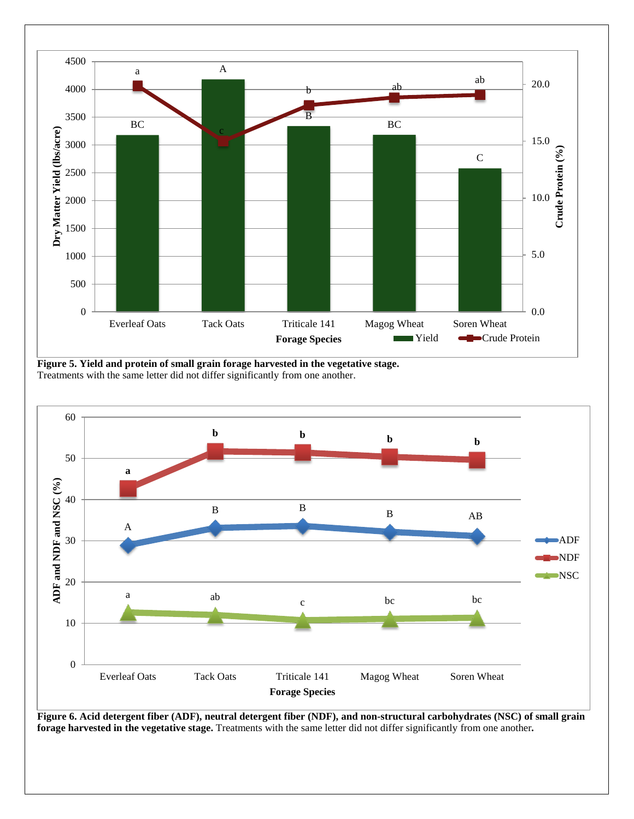

**Figure 5. Yield and protein of small grain forage harvested in the vegetative stage.**  Treatments with the same letter did not differ significantly from one another.



**Figure 6. Acid detergent fiber (ADF), neutral detergent fiber (NDF), and non-structural carbohydrates (NSC) of small grain forage harvested in the vegetative stage.** Treatments with the same letter did not differ significantly from one another*.*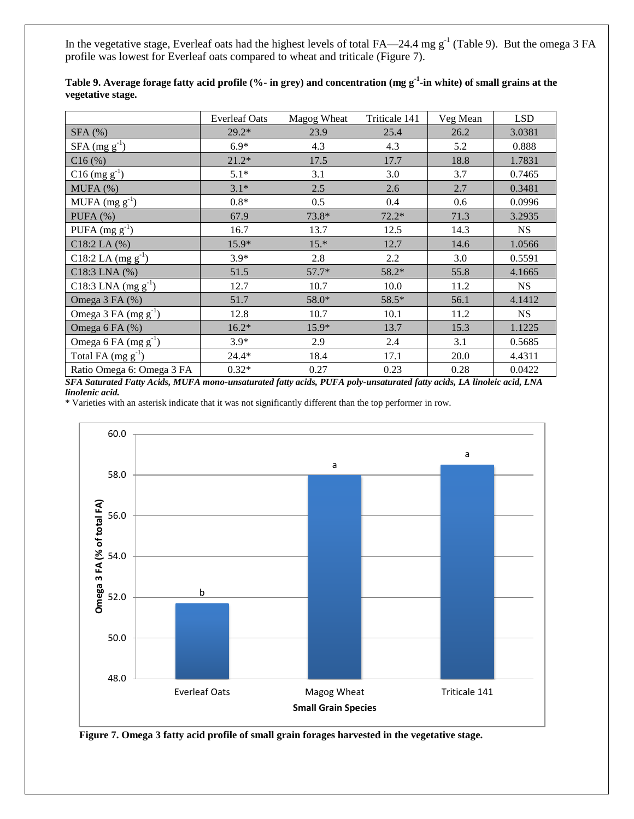In the vegetative stage, Everleaf oats had the highest levels of total FA—24.4 mg  $g^{-1}$  (Table 9). But the omega 3 FA profile was lowest for Everleaf oats compared to wheat and triticale (Figure 7).

|                                  | <b>Everleaf Oats</b> | Magog Wheat | Triticale 141 | Veg Mean | <b>LSD</b> |
|----------------------------------|----------------------|-------------|---------------|----------|------------|
| $SFA$ (%)                        | $29.2*$              | 23.9        | 25.4          | 26.2     | 3.0381     |
| $SFA \text{ (mg g}^{-1})$        | $6.9*$               | 4.3         | 4.3           | 5.2      | 0.888      |
| C16(%)                           | $21.2*$              | 17.5        | 17.7          | 18.8     | 1.7831     |
| $C16$ (mg $g^{-1}$ )             | $5.1*$               | 3.1         | 3.0           | 3.7      | 0.7465     |
| MUFA (%)                         | $3.1*$               | 2.5         | 2.6           | 2.7      | 0.3481     |
| MUFA $(mg g^{-1})$               | $0.8*$               | 0.5         | 0.4           | 0.6      | 0.0996     |
| PUFA $(%)$                       | 67.9                 | 73.8*       | $72.2*$       | 71.3     | 3.2935     |
| PUFA $(mg g^{-1})$               | 16.7                 | 13.7        | 12.5          | 14.3     | <b>NS</b>  |
| $C18:2$ LA $(%)$                 | 15.9*                | $15.*$      | 12.7          | 14.6     | 1.0566     |
| C18:2 LA $(mg g^{-1})$           | $3.9*$               | 2.8         | 2.2           | 3.0      | 0.5591     |
| $C18:3$ LNA $(%)$                | 51.5                 | $57.7*$     | 58.2*         | 55.8     | 4.1665     |
| C18:3 LNA $(mg g^{-1})$          | 12.7                 | 10.7        | 10.0          | 11.2     | <b>NS</b>  |
| Omega 3 FA (%)                   | 51.7                 | 58.0*       | 58.5*         | 56.1     | 4.1412     |
| Omega 3 FA (mg g <sup>-1</sup> ) | 12.8                 | 10.7        | 10.1          | 11.2     | <b>NS</b>  |
| Omega 6 FA (%)                   | $16.2*$              | 15.9*       | 13.7          | 15.3     | 1.1225     |
| Omega 6 FA $(mg g^{-1})$         | $3.9*$               | 2.9         | 2.4           | 3.1      | 0.5685     |
| Total FA $(mg g^{-1})$           | $24.4*$              | 18.4        | 17.1          | 20.0     | 4.4311     |
| Ratio Omega 6: Omega 3 FA        | $0.32*$              | 0.27        | 0.23          | 0.28     | 0.0422     |

**Table 9. Average forage fatty acid profile (%- in grey) and concentration (mg g-1 -in white) of small grains at the vegetative stage.** 

*SFA Saturated Fatty Acids, MUFA mono-unsaturated fatty acids, PUFA poly-unsaturated fatty acids, LA linoleic acid, LNA linolenic acid.* 



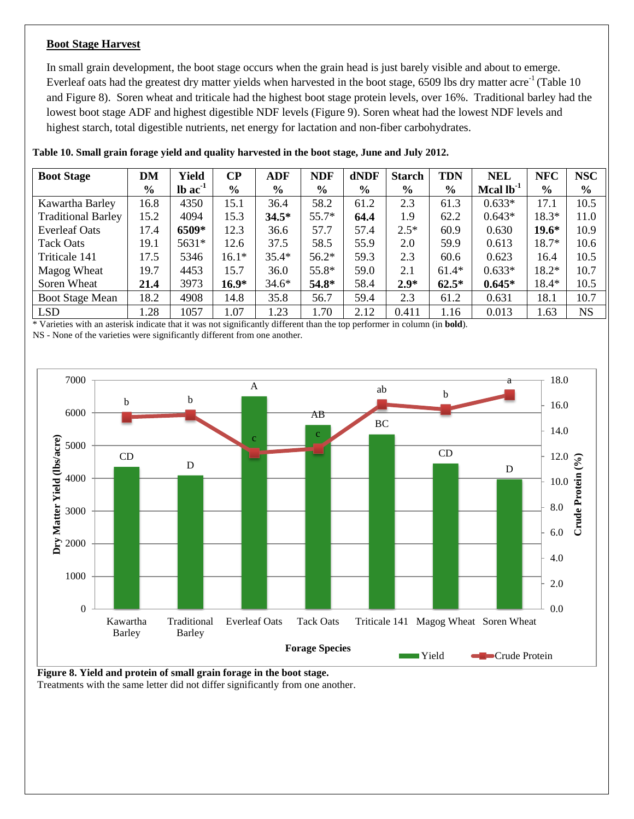#### **Boot Stage Harvest**

In small grain development, the boot stage occurs when the grain head is just barely visible and about to emerge. Everleaf oats had the greatest dry matter yields when harvested in the boot stage,  $6509$  lbs dry matter acre<sup>-1</sup> (Table 10) and Figure 8). Soren wheat and triticale had the highest boot stage protein levels, over 16%. Traditional barley had the lowest boot stage ADF and highest digestible NDF levels (Figure 9). Soren wheat had the lowest NDF levels and highest starch, total digestible nutrients, net energy for lactation and non-fiber carbohydrates.

| <b>Boot Stage</b>         | <b>DM</b> | Yield                 | $\bf CP$      | ADF           | <b>NDF</b>    | dNDF          | <b>Starch</b> | <b>TDN</b>    | <b>NEL</b>     | <b>NFC</b>    | <b>NSC</b>    |
|---------------------------|-----------|-----------------------|---------------|---------------|---------------|---------------|---------------|---------------|----------------|---------------|---------------|
|                           | $\%$      | $lb$ ac <sup>-1</sup> | $\frac{6}{9}$ | $\frac{0}{0}$ | $\frac{6}{9}$ | $\frac{0}{0}$ | $\frac{0}{0}$ | $\frac{0}{0}$ | Mcal $lb^{-1}$ | $\frac{6}{9}$ | $\frac{6}{6}$ |
| Kawartha Barley           | 16.8      | 4350                  | 15.1          | 36.4          | 58.2          | 61.2          | 2.3           | 61.3          | $0.633*$       | 17.1          | 10.5          |
| <b>Traditional Barley</b> | 15.2      | 4094                  | 15.3          | $34.5*$       | $55.7*$       | 64.4          | 1.9           | 62.2          | $0.643*$       | $18.3*$       | 11.0          |
| <b>Everleaf Oats</b>      | 17.4      | 6509*                 | 12.3          | 36.6          | 57.7          | 57.4          | $2.5*$        | 60.9          | 0.630          | $19.6*$       | 10.9          |
| Tack Oats                 | 19.1      | 5631*                 | 12.6          | 37.5          | 58.5          | 55.9          | 2.0           | 59.9          | 0.613          | 18.7*         | 10.6          |
| Triticale 141             | 17.5      | 5346                  | $16.1*$       | $35.4*$       | $56.2*$       | 59.3          | 2.3           | 60.6          | 0.623          | 16.4          | 10.5          |
| Magog Wheat               | 19.7      | 4453                  | 15.7          | 36.0          | $55.8*$       | 59.0          | 2.1           | $61.4*$       | $0.633*$       | $18.2*$       | 10.7          |
| Soren Wheat               | 21.4      | 3973                  | $16.9*$       | $34.6*$       | 54.8*         | 58.4          | $2.9*$        | $62.5*$       | $0.645*$       | $18.4*$       | 10.5          |
| <b>Boot Stage Mean</b>    | 18.2      | 4908                  | 14.8          | 35.8          | 56.7          | 59.4          | 2.3           | 61.2          | 0.631          | 18.1          | 10.7          |
| <b>LSD</b>                | 1.28      | 1057                  | 1.07          | 1.23          | 1.70          | 2.12          | 0.411         | 1.16          | 0.013          | 1.63          | <b>NS</b>     |

**Table 10. Small grain forage yield and quality harvested in the boot stage, June and July 2012.**

\* Varieties with an asterisk indicate that it was not significantly different than the top performer in column (in **bold**).

NS - None of the varieties were significantly different from one another.



**Figure 8. Yield and protein of small grain forage in the boot stage.**  Treatments with the same letter did not differ significantly from one another.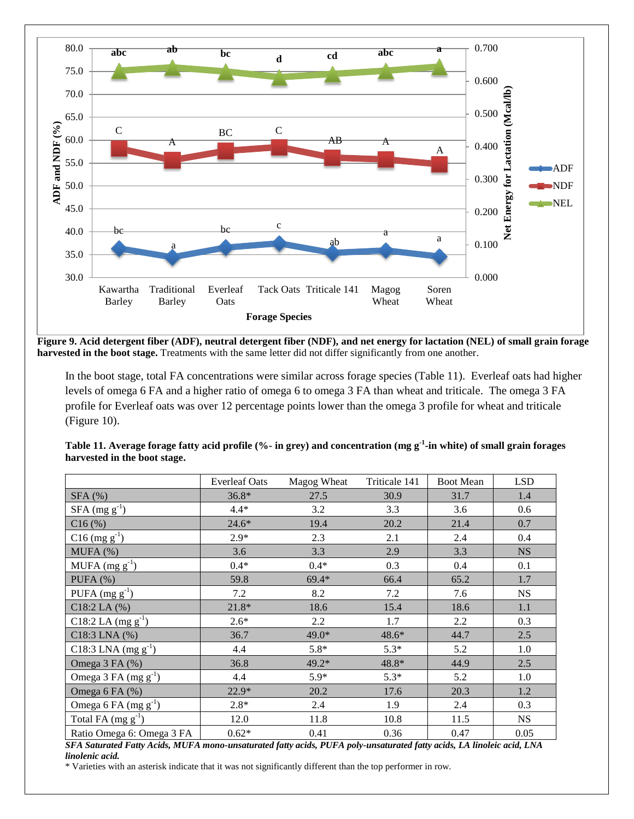

**Figure 9. Acid detergent fiber (ADF), neutral detergent fiber (NDF), and net energy for lactation (NEL) of small grain forage harvested in the boot stage.** Treatments with the same letter did not differ significantly from one another.

In the boot stage, total FA concentrations were similar across forage species (Table 11). Everleaf oats had higher levels of omega 6 FA and a higher ratio of omega 6 to omega 3 FA than wheat and triticale. The omega 3 FA profile for Everleaf oats was over 12 percentage points lower than the omega 3 profile for wheat and triticale (Figure 10).

|                           | <b>Everleaf Oats</b> | Magog Wheat | Triticale 141 | <b>Boot Mean</b> | <b>LSD</b> |
|---------------------------|----------------------|-------------|---------------|------------------|------------|
| $SFA$ (%)                 | $36.8*$              | 27.5        | 30.9          | 31.7             | 1.4        |
| $SFA$ (mg $g^{-1}$ )      | $4.4*$               | 3.2         | 3.3           | 3.6              | 0.6        |
| C16(%)                    | $24.6*$              | 19.4        | 20.2          | 21.4             | 0.7        |
| $C16$ (mg $g^{-1}$ )      | $2.9*$               | 2.3         | 2.1           | 2.4              | 0.4        |
| MUFA (%)                  | 3.6                  | 3.3         | 2.9           | 3.3              | <b>NS</b>  |
| MUFA $(mg g^{-1})$        | $0.4*$               | $0.4*$      | 0.3           | 0.4              | 0.1        |
| PUFA $(%)$                | 59.8                 | $69.4*$     | 66.4          | 65.2             | 1.7        |
| PUFA $(mg g^{-1})$        | 7.2                  | 8.2         | 7.2           | 7.6              | <b>NS</b>  |
| $C18:2$ LA $(%)$          | $21.8*$              | 18.6        | 15.4          | 18.6             | 1.1        |
| C18:2 LA $(mg g^{-1})$    | $2.6*$               | 2.2         | 1.7           | 2.2              | 0.3        |
| $C18:3$ LNA $(%)$         | 36.7                 | 49.0*       | 48.6*         | 44.7             | 2.5        |
| C18:3 LNA $(mg g^{-1})$   | 4.4                  | $5.8*$      | $5.3*$        | 5.2              | $1.0\,$    |
| Omega 3 FA (%)            | 36.8                 | 49.2*       | 48.8*         | 44.9             | 2.5        |
| Omega 3 FA $(mg g^{-1})$  | 4.4                  | $5.9*$      | $5.3*$        | 5.2              | 1.0        |
| Omega 6 FA (%)            | 22.9*                | 20.2        | 17.6          | 20.3             | 1.2        |
| Omega 6 FA $(mg g^{-1})$  | $2.8*$               | 2.4         | 1.9           | 2.4              | 0.3        |
| Total FA $(mg g^{-1})$    | 12.0                 | 11.8        | 10.8          | 11.5             | <b>NS</b>  |
| Ratio Omega 6: Omega 3 FA | $0.62*$              | 0.41        | 0.36          | 0.47             | 0.05       |

| Table 11. Average forage fatty acid profile (%- in grey) and concentration (mg g <sup>-1</sup> -in white) of small grain forages |  |
|----------------------------------------------------------------------------------------------------------------------------------|--|
| harvested in the boot stage.                                                                                                     |  |

*SFA Saturated Fatty Acids, MUFA mono-unsaturated fatty acids, PUFA poly-unsaturated fatty acids, LA linoleic acid, LNA linolenic acid.*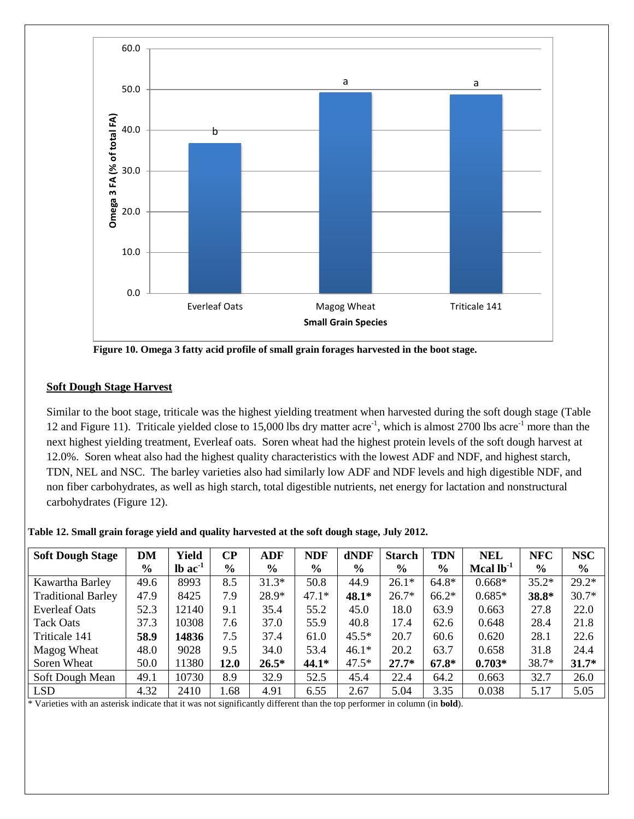

**Figure 10. Omega 3 fatty acid profile of small grain forages harvested in the boot stage.** 

#### **Soft Dough Stage Harvest**

Similar to the boot stage, triticale was the highest yielding treatment when harvested during the soft dough stage (Table 12 and Figure 11). Triticale yielded close to 15,000 lbs dry matter  $\arccos^{-1}$ , which is almost 2700 lbs  $\arccos^{-1}$  more than the next highest yielding treatment, Everleaf oats. Soren wheat had the highest protein levels of the soft dough harvest at 12.0%. Soren wheat also had the highest quality characteristics with the lowest ADF and NDF, and highest starch, TDN, NEL and NSC. The barley varieties also had similarly low ADF and NDF levels and high digestible NDF, and non fiber carbohydrates, as well as high starch, total digestible nutrients, net energy for lactation and nonstructural carbohydrates (Figure 12).

**Table 12. Small grain forage yield and quality harvested at the soft dough stage, July 2012.**

| <b>Soft Dough Stage</b>   | DM            | <b>Yield</b>          | <b>CP</b>     | ADF     | <b>NDF</b>    | dNDF    | <b>Starch</b> | <b>TDN</b>    | <b>NEL</b>     | <b>NFC</b>    | <b>NSC</b>    |
|---------------------------|---------------|-----------------------|---------------|---------|---------------|---------|---------------|---------------|----------------|---------------|---------------|
|                           | $\frac{0}{0}$ | $lb$ ac <sup>-1</sup> | $\frac{6}{9}$ | $\%$    | $\frac{6}{6}$ | $\%$    | $\frac{6}{6}$ | $\frac{6}{9}$ | Mcal $lb^{-1}$ | $\frac{6}{9}$ | $\frac{0}{0}$ |
| Kawartha Barley           | 49.6          | 8993                  | 8.5           | $31.3*$ | 50.8          | 44.9    | $26.1*$       | $64.8*$       | $0.668*$       | $35.2*$       | $29.2*$       |
| <b>Traditional Barley</b> | 47.9          | 8425                  | 7.9           | 28.9*   | $47.1*$       | $48.1*$ | $26.7*$       | $66.2*$       | $0.685*$       | 38.8*         | $30.7*$       |
| <b>Everleaf Oats</b>      | 52.3          | 12140                 | 9.1           | 35.4    | 55.2          | 45.0    | 18.0          | 63.9          | 0.663          | 27.8          | 22.0          |
| <b>Tack Oats</b>          | 37.3          | 10308                 | 7.6           | 37.0    | 55.9          | 40.8    | 17.4          | 62.6          | 0.648          | 28.4          | 21.8          |
| Triticale 141             | 58.9          | 14836                 | 7.5           | 37.4    | 61.0          | $45.5*$ | 20.7          | 60.6          | 0.620          | 28.1          | 22.6          |
| Magog Wheat               | 48.0          | 9028                  | 9.5           | 34.0    | 53.4          | $46.1*$ | 20.2          | 63.7          | 0.658          | 31.8          | 24.4          |
| Soren Wheat               | 50.0          | 11380                 | 12.0          | $26.5*$ | 44.1*         | $47.5*$ | $27.7*$       | $67.8*$       | $0.703*$       | 38.7*         | $31.7*$       |
| Soft Dough Mean           | 49.1          | 10730                 | 8.9           | 32.9    | 52.5          | 45.4    | 22.4          | 64.2          | 0.663          | 32.7          | 26.0          |
| <b>LSD</b>                | 4.32          | 2410                  | .68           | 4.91    | 6.55          | 2.67    | 5.04          | 3.35          | 0.038          | 5.17          | 5.05          |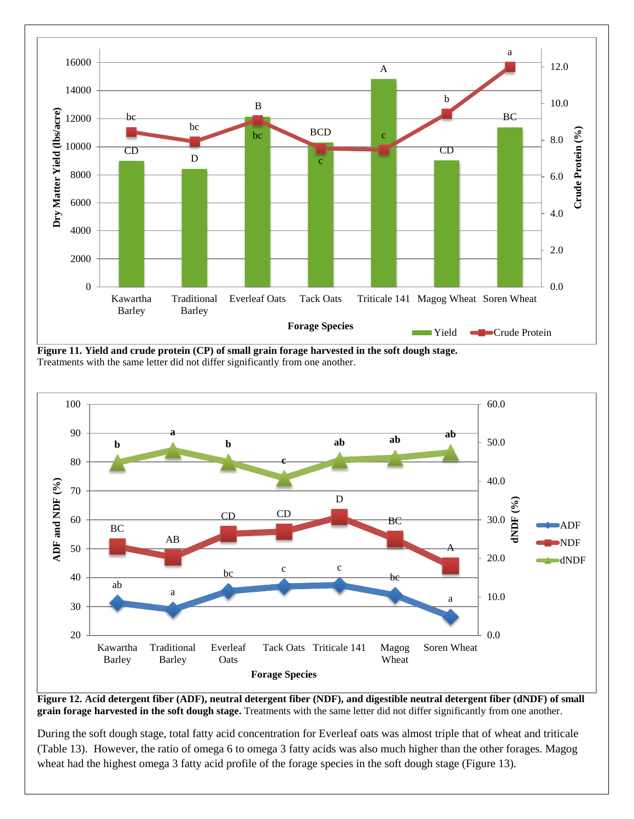

**Figure 11. Yield and crude protein (CP) of small grain forage harvested in the soft dough stage.**  Treatments with the same letter did not differ significantly from one another.



**Figure 12. Acid detergent fiber (ADF), neutral detergent fiber (NDF), and digestible neutral detergent fiber (dNDF) of small grain forage harvested in the soft dough stage.** Treatments with the same letter did not differ significantly from one another.

During the soft dough stage, total fatty acid concentration for Everleaf oats was almost triple that of wheat and triticale (Table 13). However, the ratio of omega 6 to omega 3 fatty acids was also much higher than the other forages. Magog wheat had the highest omega 3 fatty acid profile of the forage species in the soft dough stage (Figure 13).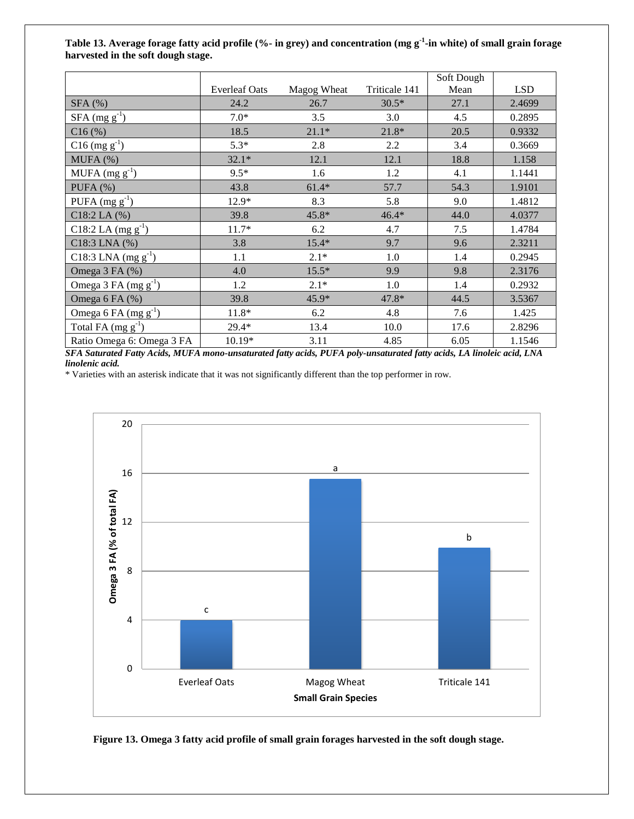#### **Table 13. Average forage fatty acid profile (%- in grey) and concentration (mg g-1 -in white) of small grain forage harvested in the soft dough stage.**

|                           |                      |             |               | Soft Dough |            |
|---------------------------|----------------------|-------------|---------------|------------|------------|
|                           | <b>Everleaf Oats</b> | Magog Wheat | Triticale 141 | Mean       | <b>LSD</b> |
| $SFA$ (%)                 | 24.2                 | 26.7        | $30.5*$       | 27.1       | 2.4699     |
| $SFA$ (mg $g^{-1}$ )      | $7.0*$               | 3.5         | 3.0           | 4.5        | 0.2895     |
| C16(%)                    | 18.5                 | $21.1*$     | $21.8*$       | 20.5       | 0.9332     |
| $C16$ (mg $g^{-1}$ )      | $5.3*$               | 2.8         | 2.2           | 3.4        | 0.3669     |
| MUPA(%)                   | $32.1*$              | 12.1        | 12.1          | 18.8       | 1.158      |
| MUFA $(mg g^{-1})$        | $9.5*$               | 1.6         | 1.2           | 4.1        | 1.1441     |
| PUFA $(%)$                | 43.8                 | $61.4*$     | 57.7          | 54.3       | 1.9101     |
| PUFA $(mg g^{-1})$        | 12.9*                | 8.3         | 5.8           | 9.0        | 1.4812     |
| $C18:2$ LA $(%)$          | 39.8                 | 45.8*       | $46.4*$       | 44.0       | 4.0377     |
| C18:2 LA $(mg g^{-1})$    | $11.7*$              | 6.2         | 4.7           | 7.5        | 1.4784     |
| C18:3 LNA (%)             | 3.8                  | $15.4*$     | 9.7           | 9.6        | 2.3211     |
| C18:3 LNA $(mg g^{-1})$   | 1.1                  | $2.1*$      | 1.0           | 1.4        | 0.2945     |
| Omega 3 FA (%)            | 4.0                  | $15.5*$     | 9.9           | 9.8        | 2.3176     |
| Omega 3 FA $(mg g^{-1})$  | 1.2                  | $2.1*$      | 1.0           | 1.4        | 0.2932     |
| Omega 6 FA (%)            | 39.8                 | $45.9*$     | 47.8*         | 44.5       | 3.5367     |
| Omega 6 FA $(mg g^{-1})$  | $11.8*$              | 6.2         | 4.8           | 7.6        | 1.425      |
| Total FA $(mg g^{-1})$    | 29.4*                | 13.4        | 10.0          | 17.6       | 2.8296     |
| Ratio Omega 6: Omega 3 FA | 10.19*               | 3.11        | 4.85          | 6.05       | 1.1546     |

*SFA Saturated Fatty Acids, MUFA mono-unsaturated fatty acids, PUFA poly-unsaturated fatty acids, LA linoleic acid, LNA linolenic acid.* 



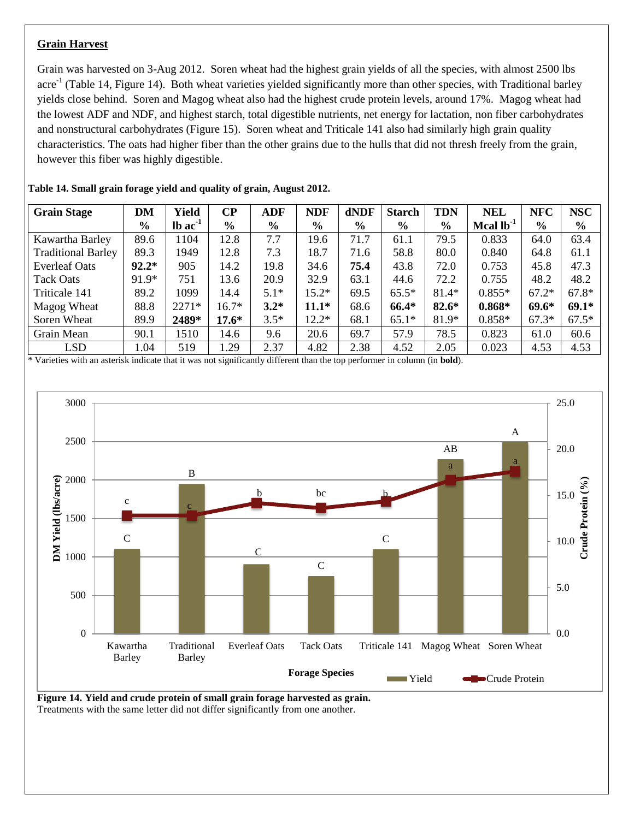#### **Grain Harvest**

Grain was harvested on 3-Aug 2012. Soren wheat had the highest grain yields of all the species, with almost 2500 lbs acre<sup>-1</sup> (Table 14, Figure 14). Both wheat varieties yielded significantly more than other species, with Traditional barley yields close behind. Soren and Magog wheat also had the highest crude protein levels, around 17%. Magog wheat had the lowest ADF and NDF, and highest starch, total digestible nutrients, net energy for lactation, non fiber carbohydrates and nonstructural carbohydrates (Figure 15). Soren wheat and Triticale 141 also had similarly high grain quality characteristics. The oats had higher fiber than the other grains due to the hulls that did not thresh freely from the grain, however this fiber was highly digestible.

| <b>Grain Stage</b>        | DM            | <b>Yield</b>          | $\bf CP$ | ADF           | <b>NDF</b>    | dNDF | <b>Starch</b> | <b>TDN</b>    | <b>NEL</b>     | <b>NFC</b>     | <b>NSC</b>    |
|---------------------------|---------------|-----------------------|----------|---------------|---------------|------|---------------|---------------|----------------|----------------|---------------|
|                           | $\frac{6}{6}$ | $lb$ ac <sup>-1</sup> | $\%$     | $\frac{0}{0}$ | $\frac{6}{6}$ | $\%$ | $\frac{6}{9}$ | $\frac{6}{6}$ | Mcal $lb^{-1}$ | $\frac{6}{10}$ | $\frac{0}{0}$ |
| Kawartha Barley           | 89.6          | 1104                  | 12.8     | 7.7           | 19.6          | 71.7 | 61.1          | 79.5          | 0.833          | 64.0           | 63.4          |
| <b>Traditional Barley</b> | 89.3          | 1949                  | 12.8     | 7.3           | 18.7          | 71.6 | 58.8          | 80.0          | 0.840          | 64.8           | 61.1          |
| <b>Everleaf Oats</b>      | $92.2*$       | 905                   | 14.2     | 19.8          | 34.6          | 75.4 | 43.8          | 72.0          | 0.753          | 45.8           | 47.3          |
| Tack Oats                 | 91.9*         | 751                   | 13.6     | 20.9          | 32.9          | 63.1 | 44.6          | 72.2          | 0.755          | 48.2           | 48.2          |
| Triticale 141             | 89.2          | 1099                  | 14.4     | $5.1*$        | $15.2*$       | 69.5 | $65.5*$       | 81.4*         | $0.855*$       | $67.2*$        | $67.8*$       |
| Magog Wheat               | 88.8          | $2271*$               | $16.7*$  | $3.2*$        | $11.1*$       | 68.6 | 66.4*         | $82.6*$       | $0.868*$       | $69.6*$        | $69.1*$       |
| Soren Wheat               | 89.9          | 2489*                 | $17.6*$  | $3.5*$        | $12.2*$       | 68.1 | $65.1*$       | 81.9*         | $0.858*$       | $67.3*$        | $67.5*$       |
| Grain Mean                | 90.1          | 1510                  | 14.6     | 9.6           | 20.6          | 69.7 | 57.9          | 78.5          | 0.823          | 61.0           | 60.6          |
| <b>LSD</b>                | 1.04          | 519                   | 1.29     | 2.37          | 4.82          | 2.38 | 4.52          | 2.05          | 0.023          | 4.53           | 4.53          |

**Table 14. Small grain forage yield and quality of grain, August 2012.**